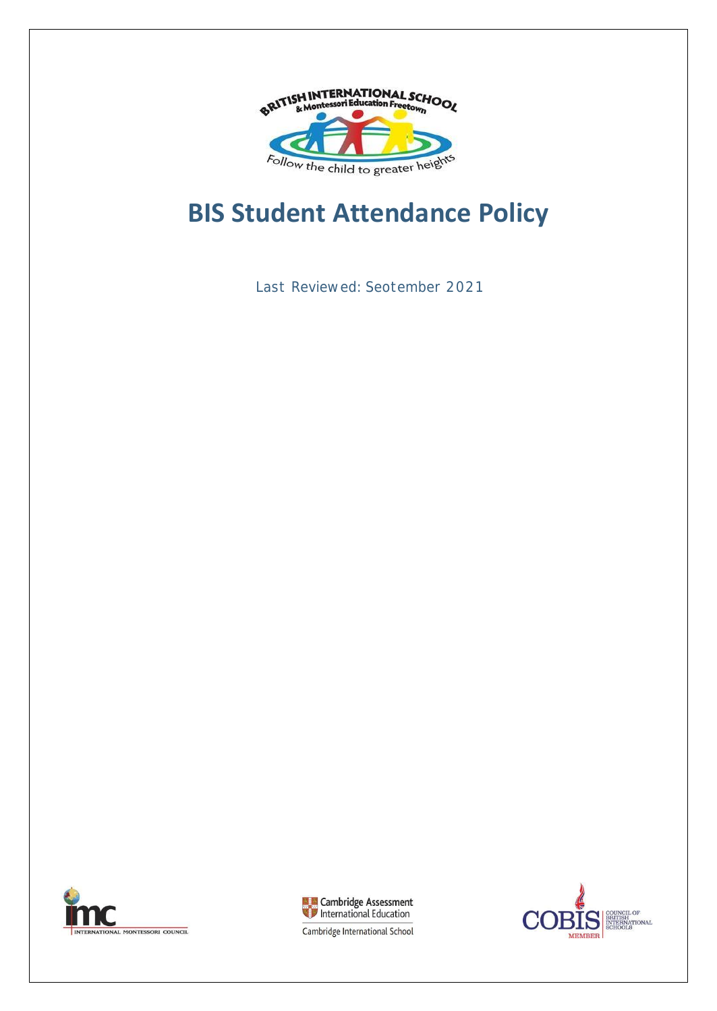

# **BIS Student Attendance Policy**

Last Reviewed: Seotember 2021





CIL OF BRITISH<br>INTERNATIONAL<br>SCHOOLS **MEMBER** 

Cambridge International School